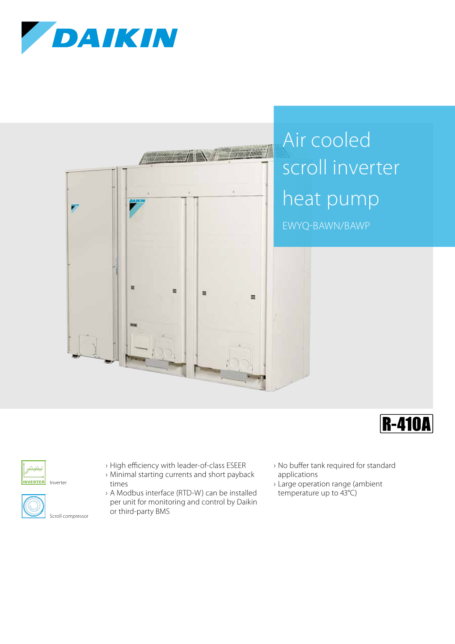



## Air cooled scroll inverter heat pump

EWYQ-BAWN/BAWP





INVERTER Inverter



- › High efficiency with leader-of-class ESEER
- › Minimal starting currents and short payback times
- › A Modbus interface (RTD-W) can be installed per unit for monitoring and control by Daikin or third-party BMS
- › No buffer tank required for standard applications
- › Large operation range (ambient temperature up to 43°C)